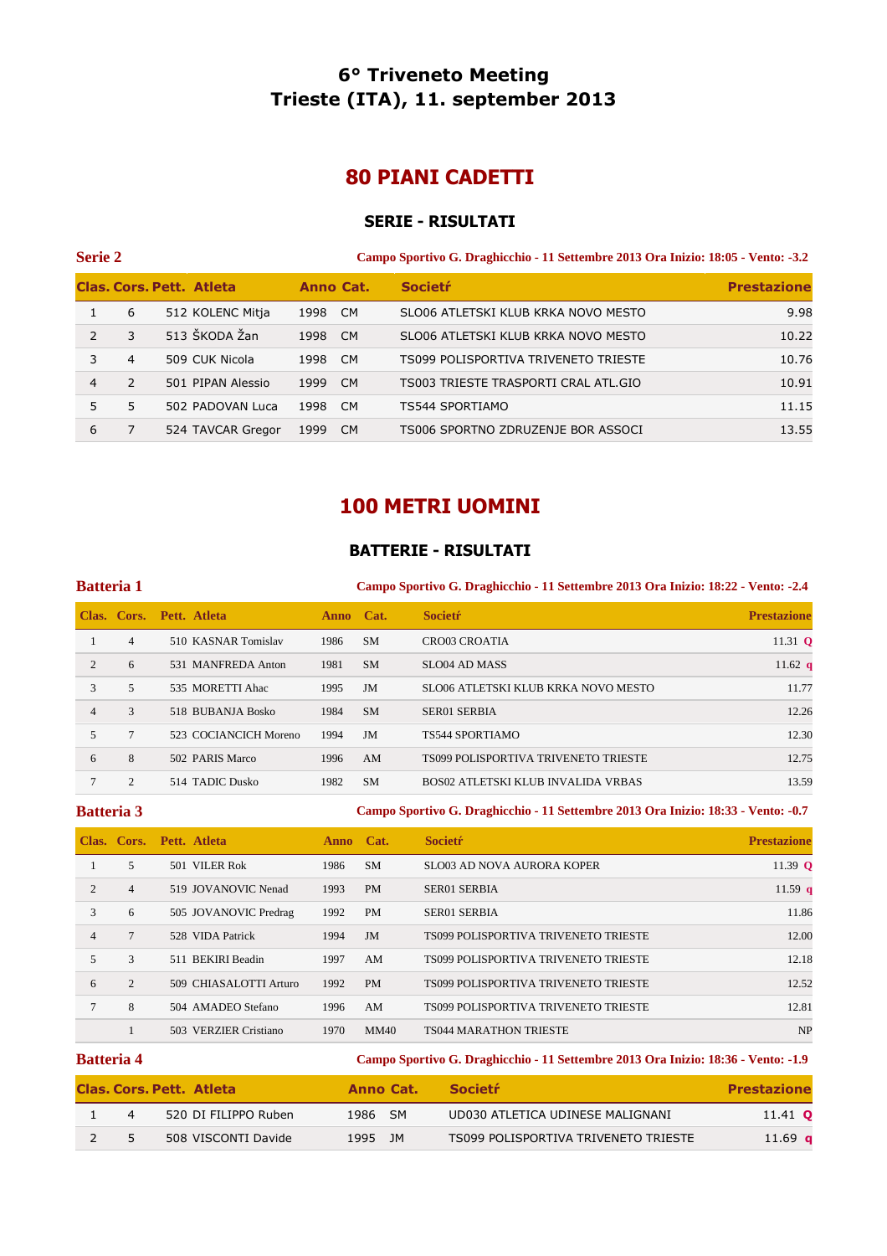# **6° Triveneto Meeting Trieste (ITA), 11. september 2013**

# **80 PIANI CADETTI**

### **SERIE - RISULTATI**

| <b>Serie 2</b> | Campo Sportivo G. Draghicchio - 11 Settembre 2013 Ora Inizio: 18:05 - Vento: -3.2 |  |  |
|----------------|-----------------------------------------------------------------------------------|--|--|
|----------------|-----------------------------------------------------------------------------------|--|--|

|    |               | <b>Clas, Cors, Pett. Atleta</b> | <b>Anno Cat.</b> |           | <b>Societr</b>                       | <b>Prestazione</b> |
|----|---------------|---------------------------------|------------------|-----------|--------------------------------------|--------------------|
|    | 6             | 512 KOLENC Mitja                | 1998             | <b>CM</b> | SLO06 ATLETSKI KLUB KRKA NOVO MESTO  | 9.98               |
|    | 3             | 513 ŠKODA Žan                   | 1998             | <b>CM</b> | SLO06 ATLETSKI KLUB KRKA NOVO MESTO  | 10.22              |
|    | 4             | 509 CUK Nicola                  | 1998             | <b>CM</b> | TS099 POLISPORTIVA TRIVENETO TRIESTE | 10.76              |
| 4  | $\mathcal{P}$ | 501 PIPAN Alessio               | 1999             | <b>CM</b> | TS003 TRIESTE TRASPORTI CRAL ATL.GIO | 10.91              |
| 5. | 5             | 502 PADOVAN Luca                | 1998             | <b>CM</b> | TS544 SPORTIAMO                      | 11.15              |
| 6  |               | 524 TAVCAR Gregor               | 1999             | CM.       | TS006 SPORTNO ZDRUZENJE BOR ASSOCI   | 13.55              |

## **100 METRI UOMINI**

### **BATTERIE - RISULTATI**

### **Batteria 1 Campo Sportivo G. Draghicchio - 11 Settembre 2013 Ora Inizio: 18:22 - Vento: -2.4**

|                |                | Clas. Cors. Pett. Atleta | <b>Anno</b> | Cat.      | <b>Societr</b>                            | <b>Prestazione</b> |
|----------------|----------------|--------------------------|-------------|-----------|-------------------------------------------|--------------------|
|                | $\overline{4}$ | 510 KASNAR Tomislav      | 1986        | <b>SM</b> | <b>CRO03 CROATIA</b>                      | 11.31 $Q$          |
| 2              | 6              | 531 MANFREDA Anton       | 1981        | <b>SM</b> | SLO04 AD MASS                             | 11.62 $q$          |
| 3              | 5              | 535 MORETTI Ahac         | 1995        | JM        | SLO06 ATLETSKI KLUB KRKA NOVO MESTO       | 11.77              |
| $\overline{4}$ | 3              | 518 BUBANJA Bosko        | 1984        | <b>SM</b> | SER01 SERBIA                              | 12.26              |
|                |                | 523 COCIANCICH Moreno    | 1994        | JM        | <b>TS544 SPORTIAMO</b>                    | 12.30              |
| 6              | 8              | 502 PARIS Marco          | 1996        | AM        | TS099 POLISPORTIVA TRIVENETO TRIESTE      | 12.75              |
|                | $\overline{c}$ | 514 TADIC Dusko          | 1982        | <b>SM</b> | <b>BOS02 ATLETSKI KLUB INVALIDA VRBAS</b> | 13.59              |

### **Batteria 3 Campo Sportivo G. Draghicchio - 11 Settembre 2013 Ora Inizio: 18:33 - Vento: -0.7**

|                |                | Clas. Cors. Pett. Atleta | Anno Cat. |             | <b>Societr</b>                       | <b>Prestazione</b> |
|----------------|----------------|--------------------------|-----------|-------------|--------------------------------------|--------------------|
|                | 5              | 501 VILER Rok            | 1986      | <b>SM</b>   | <b>SLO03 AD NOVA AURORA KOPER</b>    | 11.39 $\bf{0}$     |
| 2              | $\overline{4}$ | 519 JOVANOVIC Nenad      | 1993      | <b>PM</b>   | <b>SER01 SERBIA</b>                  | 11.59 $q$          |
| 3              | 6              | 505 JOVANOVIC Predrag    | 1992      | <b>PM</b>   | <b>SER01 SERBIA</b>                  | 11.86              |
| $\overline{4}$ |                | 528 VIDA Patrick         | 1994      | <b>JM</b>   | TS099 POLISPORTIVA TRIVENETO TRIESTE | 12.00              |
| 5              | 3              | 511 BEKIRI Beadin        | 1997      | AM          | TS099 POLISPORTIVA TRIVENETO TRIESTE | 12.18              |
| 6              | 2              | 509 CHIASALOTTI Arturo   | 1992      | <b>PM</b>   | TS099 POLISPORTIVA TRIVENETO TRIESTE | 12.52              |
| $\tau$         | 8              | 504 AMADEO Stefano       | 1996      | AM          | TS099 POLISPORTIVA TRIVENETO TRIESTE | 12.81              |
|                |                | 503 VERZIER Cristiano    | 1970      | <b>MM40</b> | <b>TS044 MARATHON TRIESTE</b>        | <b>NP</b>          |

| <b>Batteria 4</b> |                                 |           | Campo Sportivo G. Draghicchio - 11 Settembre 2013 Ora Inizio: 18:36 - Vento: -1.9 |                    |  |  |  |  |  |
|-------------------|---------------------------------|-----------|-----------------------------------------------------------------------------------|--------------------|--|--|--|--|--|
|                   | <b>Clas, Cors, Pett. Atleta</b> | Anno Cat. | <b>Societr</b>                                                                    | <b>Prestazione</b> |  |  |  |  |  |
| $\overline{4}$    | 520 DI FILIPPO Ruben            | 1986 SM   | UD030 ATLETICA UDINESE MALIGNANI                                                  | 11.41 <b>Q</b>     |  |  |  |  |  |
|                   | 508 VISCONTI Davide             | 1995 JM   | TS099 POLISPORTIVA TRIVENETO TRIESTE                                              | 11.69 <b>q</b>     |  |  |  |  |  |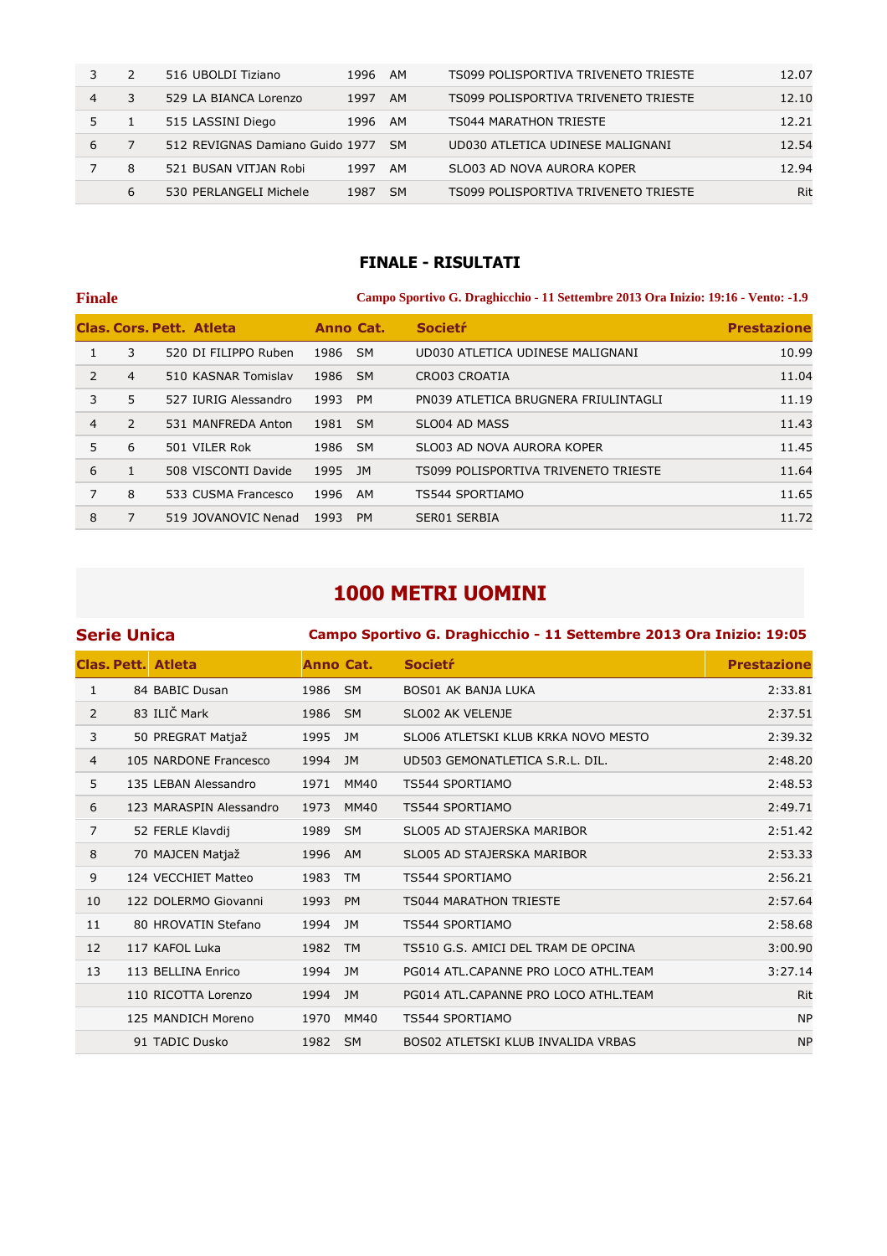|   |   | 516 UBOLDI Tiziano              | 1996 | AM        | TS099 POLISPORTIVA TRIVENETO TRIESTE | 12.07 |
|---|---|---------------------------------|------|-----------|--------------------------------------|-------|
| 4 | 3 | 529 LA BIANCA Lorenzo           | 1997 | AM        | TS099 POLISPORTIVA TRIVENETO TRIESTE | 12.10 |
|   |   | 515 LASSINI Diego               | 1996 | AM        | TS044 MARATHON TRIESTE               | 12.21 |
| 6 |   | 512 REVIGNAS Damiano Guido 1977 |      | <b>SM</b> | UD030 ATLETICA UDINESE MALIGNANI     | 12.54 |
|   | 8 | 521 BUSAN VITJAN Robi           | 1997 | AM        | SLO03 AD NOVA AURORA KOPER           | 12.94 |
|   | 6 | 530 PERLANGELI Michele          | 1987 | <b>SM</b> | TS099 POLISPORTIVA TRIVENETO TRIESTE | Rit   |

### **FINALE - RISULTATI**

| <b>Finale</b>  |              |                          |           | Campo Sportivo G. Draghicchio - 11 Settembre 2013 Ora Inizio: 19:16 - Vento: -1.9 |                                      |                    |  |  |
|----------------|--------------|--------------------------|-----------|-----------------------------------------------------------------------------------|--------------------------------------|--------------------|--|--|
|                |              | Clas. Cors. Pett. Atleta | Anno Cat. |                                                                                   | <b>Societr</b>                       | <b>Prestazione</b> |  |  |
|                | 3            | 520 DI FILIPPO Ruben     | 1986 SM   |                                                                                   | UD030 ATLETICA UDINESE MALIGNANI     | 10.99              |  |  |
| $\mathcal{P}$  | 4            | 510 KASNAR Tomislav      | 1986      | <b>SM</b>                                                                         | <b>CRO03 CROATIA</b>                 | 11.04              |  |  |
| 3              | 5            | 527 IURIG Alessandro     | 1993      | <b>PM</b>                                                                         | PN039 ATLETICA BRUGNERA FRIULINTAGLI | 11.19              |  |  |
| $\overline{4}$ | 2            | 531 MANFREDA Anton       | 1981      | - SM                                                                              | SLO04 AD MASS                        | 11.43              |  |  |
| 5              | 6            | 501 VILER Rok            | 1986      | <b>SM</b>                                                                         | SLO03 AD NOVA AURORA KOPER           | 11.45              |  |  |
| 6              | $\mathbf{1}$ | 508 VISCONTI Davide      | 1995      | JM                                                                                | TS099 POLISPORTIVA TRIVENETO TRIESTE | 11.64              |  |  |
| 7              | 8            | 533 CUSMA Francesco      | 1996      | AM                                                                                | TS544 SPORTIAMO                      | 11.65              |  |  |
| 8              | 7            | 519 JOVANOVIC Nenad      | 1993      | <b>PM</b>                                                                         | SER01 SERBIA                         | 11.72              |  |  |

# **1000 METRI UOMINI**

|                | Serie Unica |                           |           | Campo Sportivo G. Draghicchio - 11 Settembre 2013 Ora Inizio: 19:05 |                                      |                    |  |  |  |
|----------------|-------------|---------------------------|-----------|---------------------------------------------------------------------|--------------------------------------|--------------------|--|--|--|
|                |             | <b>Clas. Pett. Atleta</b> | Anno Cat. |                                                                     | <b>Societr</b>                       | <b>Prestazione</b> |  |  |  |
| 1              |             | 84 BABIC Dusan            | 1986      | <b>SM</b>                                                           | <b>BOS01 AK BANJA LUKA</b>           | 2:33.81            |  |  |  |
| 2              |             | 83 ILIČ Mark              | 1986      | <b>SM</b>                                                           | SLO02 AK VELENJE                     | 2:37.51            |  |  |  |
| 3              |             | 50 PREGRAT Matjaž         | 1995      | JM                                                                  | SLO06 ATLETSKI KLUB KRKA NOVO MESTO  | 2:39.32            |  |  |  |
| $\overline{4}$ |             | 105 NARDONE Francesco     | 1994      | JM                                                                  | UD503 GEMONATLETICA S.R.L. DIL.      | 2:48.20            |  |  |  |
| 5              |             | 135 LEBAN Alessandro      | 1971      | MM40                                                                | TS544 SPORTIAMO                      | 2:48.53            |  |  |  |
| 6              |             | 123 MARASPIN Alessandro   | 1973      | <b>MM40</b>                                                         | TS544 SPORTIAMO                      | 2:49.71            |  |  |  |
| 7              |             | 52 FERLE Klavdij          | 1989      | <b>SM</b>                                                           | SLO05 AD STAJERSKA MARIBOR           | 2:51.42            |  |  |  |
| 8              |             | 70 MAJCEN Matjaž          | 1996      | AM                                                                  | SLO05 AD STAJERSKA MARIBOR           | 2:53.33            |  |  |  |
| 9              |             | 124 VECCHIET Matteo       | 1983      | <b>TM</b>                                                           | TS544 SPORTIAMO                      | 2:56.21            |  |  |  |
| 10             |             | 122 DOLERMO Giovanni      | 1993      | <b>PM</b>                                                           | <b>TS044 MARATHON TRIESTE</b>        | 2:57.64            |  |  |  |
| 11             |             | 80 HROVATIN Stefano       | 1994      | JM                                                                  | TS544 SPORTIAMO                      | 2:58.68            |  |  |  |
| 12             |             | 117 KAFOL Luka            | 1982      | <b>TM</b>                                                           | TS510 G.S. AMICI DEL TRAM DE OPCINA  | 3:00.90            |  |  |  |
| 13             |             | 113 BELLINA Enrico        | 1994      | JM                                                                  | PG014 ATL.CAPANNE PRO LOCO ATHL.TEAM | 3:27.14            |  |  |  |
|                |             | 110 RICOTTA Lorenzo       | 1994      | JM                                                                  | PG014 ATL.CAPANNE PRO LOCO ATHL.TEAM | Rit                |  |  |  |
|                |             | 125 MANDICH Moreno        | 1970      | MM40                                                                | TS544 SPORTIAMO                      | <b>NP</b>          |  |  |  |
|                |             | 91 TADIC Dusko            | 1982      | - SM                                                                | BOS02 ATLETSKI KLUB INVALIDA VRBAS   | <b>NP</b>          |  |  |  |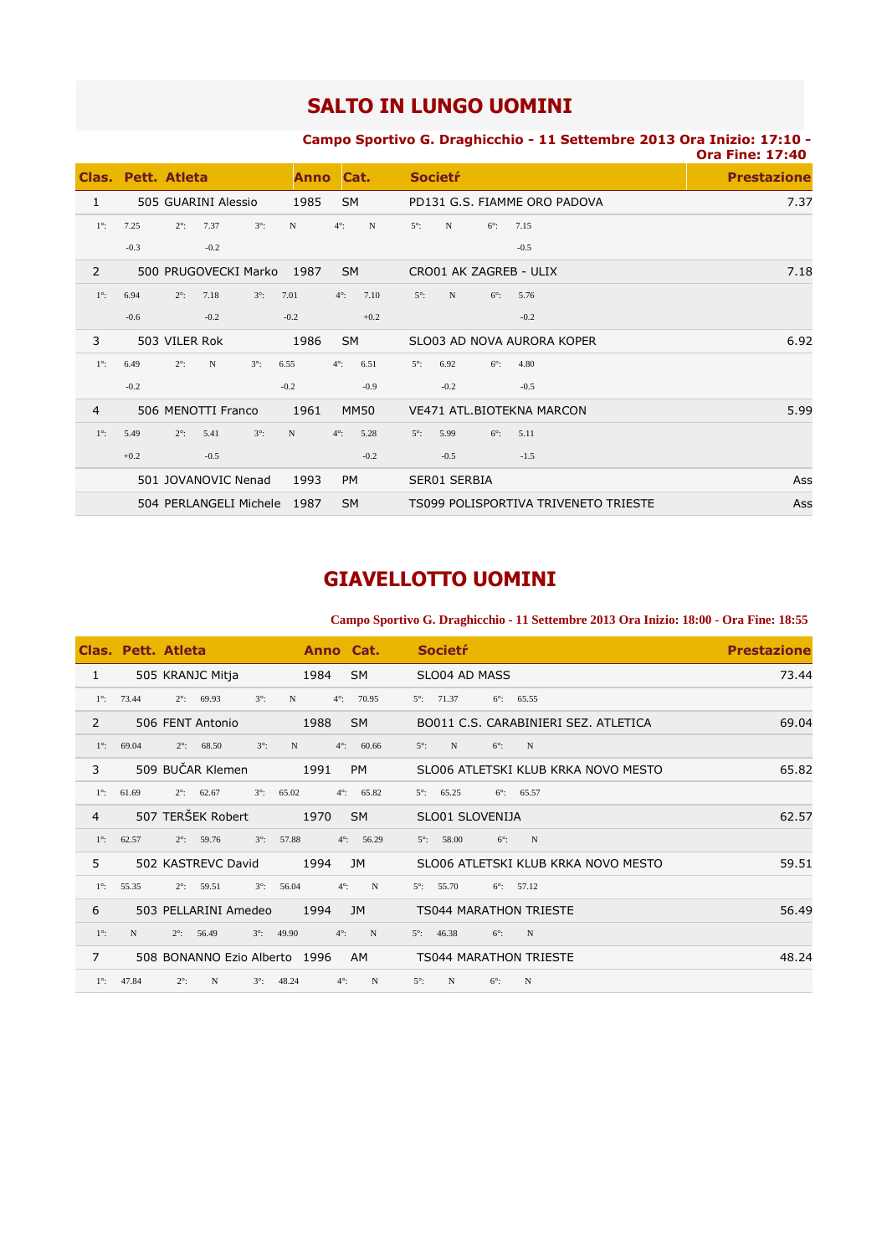# **SALTO IN LUNGO UOMINI**

### **Campo Sportivo G. Draghicchio - 11 Settembre 2013 Ora Inizio: 17:10 -**

|                |                    |               |                        |             |             |             |             |             |                |             |                        |                                      | <b>Ora Fine: 17:40</b> |
|----------------|--------------------|---------------|------------------------|-------------|-------------|-------------|-------------|-------------|----------------|-------------|------------------------|--------------------------------------|------------------------|
|                | Clas, Pett, Atleta |               |                        |             | <b>Anno</b> | Cat.        |             |             | <b>Societr</b> |             |                        |                                      | <b>Prestazione</b>     |
| 1              |                    |               | 505 GUARINI Alessio    |             | 1985        | <b>SM</b>   |             |             |                |             |                        | PD131 G.S. FIAMME ORO PADOVA         | 7.37                   |
| $1^\circ$ :    | 7.25               | $2^\circ$ :   | 7.37                   | $3^\circ$ : | N           | $4^\circ$ : | N           | $5^\circ$ : | N              | $6^\circ$ : | 7.15                   |                                      |                        |
|                | $-0.3$             |               | $-0.2$                 |             |             |             |             |             |                |             | $-0.5$                 |                                      |                        |
| 2              |                    |               | 500 PRUGOVECKI Marko   |             | 1987        | <b>SM</b>   |             |             |                |             | CRO01 AK ZAGREB - ULIX |                                      | 7.18                   |
| $1^\circ$ :    | 6.94               | $2^\circ$ :   | 7.18                   | $3^\circ$ : | 7.01        | $4^\circ$ : | 7.10        | $5^\circ$ : | N              | $6^\circ$ : | 5.76                   |                                      |                        |
|                | $-0.6$             |               | $-0.2$                 |             | $-0.2$      |             | $+0.2$      |             |                |             | $-0.2$                 |                                      |                        |
| 3              |                    | 503 VILER Rok |                        |             | 1986        | <b>SM</b>   |             |             |                |             |                        | SLO03 AD NOVA AURORA KOPER           | 6.92                   |
| $1^\circ$ :    | 6.49               | $2^\circ$ :   | $\mathbf N$            | $3^\circ$ : | 6.55        | $4^\circ$ : | 6.51        | $5^\circ$ : | 6.92           | $6^\circ$ : | 4.80                   |                                      |                        |
|                | $-0.2$             |               |                        |             | $-0.2$      |             | $-0.9$      |             | $-0.2$         |             | $-0.5$                 |                                      |                        |
| $\overline{4}$ |                    |               | 506 MENOTTI Franco     |             | 1961        |             | <b>MM50</b> |             |                |             |                        | VE471 ATL. BIOTEKNA MARCON           | 5.99                   |
| $1^\circ$ :    | 5.49               | $2^\circ$ :   | 5.41                   | $3^\circ$ : | N           | $4^\circ$ : | 5.28        | $5^\circ$ : | 5.99           | $6^\circ$ : | 5.11                   |                                      |                        |
|                | $+0.2$             |               | $-0.5$                 |             |             |             | $-0.2$      |             | $-0.5$         |             | $-1.5$                 |                                      |                        |
|                |                    |               | 501 JOVANOVIC Nenad    |             | 1993        | <b>PM</b>   |             |             | SER01 SERBIA   |             |                        |                                      | Ass                    |
|                |                    |               | 504 PERLANGELI Michele |             | 1987        | <b>SM</b>   |             |             |                |             |                        | TS099 POLISPORTIVA TRIVENETO TRIESTE | Ass                    |

# **GIAVELLOTTO UOMINI**

### **Campo Sportivo G. Draghicchio - 11 Settembre 2013 Ora Inizio: 18:00 - Ora Fine: 18:55**

|                | Clas. Pett. Atleta                           | Anno Cat.                           | <b>Societr</b>                                     | <b>Prestazione</b> |
|----------------|----------------------------------------------|-------------------------------------|----------------------------------------------------|--------------------|
| $\mathbf{1}$   | 505 KRANJC Mitja                             | <b>SM</b><br>1984                   | SLO04 AD MASS                                      | 73.44              |
| $1^\circ$ :    | 73.44<br>69.93<br>$3^\circ$ :<br>$2^\circ$ : | 70.95<br>N<br>$4^\circ$ :           | $5^{\circ}$ : 71.37<br>65.55<br>$6^\circ$ :        |                    |
| 2              | 506 FENT Antonio                             | 1988<br><b>SM</b>                   | BO011 C.S. CARABINIERI SEZ. ATLETICA               | 69.04              |
| $1^\circ$ :    | $3^\circ$ :<br>69.04<br>$2^\circ$ :<br>68.50 | N<br>$4^\circ$ :<br>60.66           | $5^\circ$ :<br>N<br>N<br>$6^\circ$ :               |                    |
| 3              | 509 BUČAR Klemen                             | 1991<br><b>PM</b>                   | SLO06 ATLETSKI KLUB KRKA NOVO MESTO                | 65.82              |
| $1^\circ$ :    | $3^\circ$ :<br>61.69<br>$2^{\circ}$ : 62.67  | 65.02<br>$4^\circ$ :<br>65.82       | 65.25<br>$6^{\circ}$ : 65.57<br>$5^\circ$ :        |                    |
| $\overline{4}$ | 507 TERŠEK Robert                            | 1970<br><b>SM</b>                   | SLO01 SLOVENIJA                                    | 62.57              |
| $1^\circ$ :    | $3^\circ$ :<br>62.57<br>$2^\circ$ :<br>59.76 | 57.88<br>$4^\circ$ :<br>56.29       | $\mathbf N$<br>$6^\circ$ :<br>58.00<br>$5^\circ$ : |                    |
| 5              | 502 KASTREVC David                           | 1994<br><b>JM</b>                   | SLO06 ATLETSKI KLUB KRKA NOVO MESTO                | 59.51              |
| $1^\circ$ :    | 55.35<br>$2^\circ$ :<br>59.51<br>$3^\circ$ : | $4^\circ$ :<br>N<br>56.04           | $5^\circ$ :<br>55.70<br>$6^\circ$ : 57.12          |                    |
| 6              | 503 PELLARINI Amedeo                         | 1994<br><b>JM</b>                   | <b>TS044 MARATHON TRIESTE</b>                      | 56.49              |
| $1^\circ$ :    | N<br>$2^\circ$ :<br>56.49<br>$3^\circ$ :     | 49.90<br>$4^\circ$ :<br>N           | $5^\circ$ :<br>46.38<br>$6^\circ$ :<br>N           |                    |
| $\overline{7}$ | 508 BONANNO Ezio Alberto 1996                | AM.                                 | <b>TS044 MARATHON TRIESTE</b>                      | 48.24              |
| $1^\circ$ :    | 47.84<br>$2^\circ$ :<br>N<br>$3^\circ$ :     | $\mathbf N$<br>48.24<br>$4^\circ$ : | N<br>$5^\circ$ :<br>N<br>$6^\circ$ :               |                    |